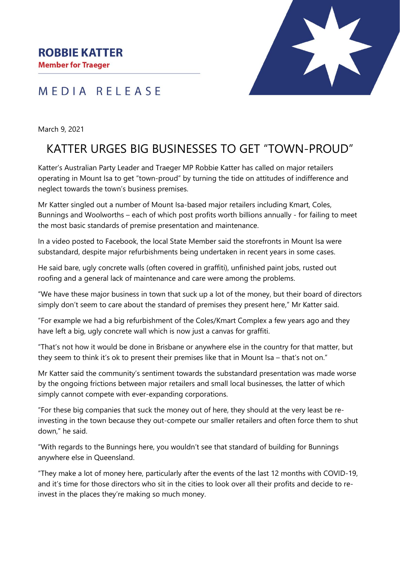**Member for Traeger** 

## MEDIA RELEASE



March 9, 2021

# KATTER URGES BIG BUSINESSES TO GET "TOWN-PROUD"

Katter's Australian Party Leader and Traeger MP Robbie Katter has called on major retailers operating in Mount Isa to get "town-proud" by turning the tide on attitudes of indifference and neglect towards the town's business premises.

Mr Katter singled out a number of Mount Isa-based major retailers including Kmart, Coles, Bunnings and Woolworths – each of which post profits worth billions annually - for failing to meet the most basic standards of premise presentation and maintenance.

In a video posted to Facebook, the local State Member said the storefronts in Mount Isa were substandard, despite major refurbishments being undertaken in recent years in some cases.

He said bare, ugly concrete walls (often covered in graffiti), unfinished paint jobs, rusted out roofing and a general lack of maintenance and care were among the problems.

"We have these major business in town that suck up a lot of the money, but their board of directors simply don't seem to care about the standard of premises they present here," Mr Katter said.

"For example we had a big refurbishment of the Coles/Kmart Complex a few years ago and they have left a big, ugly concrete wall which is now just a canvas for graffiti.

"That's not how it would be done in Brisbane or anywhere else in the country for that matter, but they seem to think it's ok to present their premises like that in Mount Isa – that's not on."

Mr Katter said the community's sentiment towards the substandard presentation was made worse by the ongoing frictions between major retailers and small local businesses, the latter of which simply cannot compete with ever-expanding corporations.

"For these big companies that suck the money out of here, they should at the very least be reinvesting in the town because they out-compete our smaller retailers and often force them to shut down," he said.

"With regards to the Bunnings here, you wouldn't see that standard of building for Bunnings anywhere else in Queensland.

"They make a lot of money here, particularly after the events of the last 12 months with COVID-19, and it's time for those directors who sit in the cities to look over all their profits and decide to reinvest in the places they're making so much money.